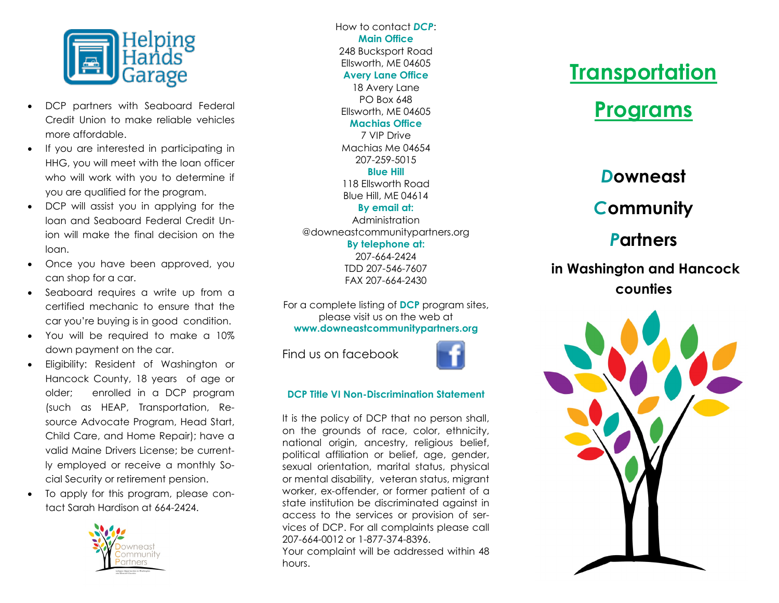

- DCP partners with Seaboard Federal Credit Union to make reliable vehicles more affordable.
- If you are interested in participating in HHG, you will meet with the loan officer who will work with you to determine if you are qualified for the program.
- DCP will assist you in applying for the loan and Seaboard Federal Credit Union will make the final decision on the loan.
- Once you have been approved, you can shop for a car.
- Seaboard requires a write up from a certified mechanic to ensure that the car you're buying is in good condition.
- You will be required to make a 10% down payment on the car.
- Eligibility: Resident of Washington or Hancock County, 18 years of age or older; enrolled in a DCP program (such as HEAP, Transportation, Resource Advocate Program, Head Start, Child Care, and Home Repair); have a valid Maine Drivers License; be currently employed or receive a monthly Social Security or retirement pension.
- To apply for this program, please contact Sarah Hardison at 664-2424.



How to contact *DCP*: **Main Office** 248 Bucksport Road Ellsworth, ME 04605 **Avery Lane Office** 18 Avery Lane PO Box 648 Ellsworth, ME 04605

#### **Machias Office**

7 VIP Drive Machias Me 04654 207-259-5015

### **Blue Hill**

118 Ellsworth Road Blue Hill, ME 04614

#### **By email at:** Administration

@downeastcommunitypartners.org **By telephone at:** 207-664-2424 TDD 207-546-7607 FAX 207-664-2430

For a complete listing of **DCP** program sites, please visit us on the web at **www.downeastcommunitypartners.org**

Find us on facebook

### **DCP Title VI Non-Discrimination Statement**

It is the policy of DCP that no person shall, on the grounds of race, color, ethnicity, national origin, ancestry, religious belief, political affiliation or belief, age, gender, sexual orientation, marital status, physical or mental disability, veteran status, migrant worker, ex-offender, or former patient of a state institution be discriminated against in access to the services or provision of services of DCP. For all complaints please call 207-664-0012 or 1-877-374-8396.

Your complaint will be addressed within 48 hours.

# **Transportation**

# **Programs**

### *D***owneast**

## *C***ommunity**

## *P***artners**

### **in Washington and Hancock counties**